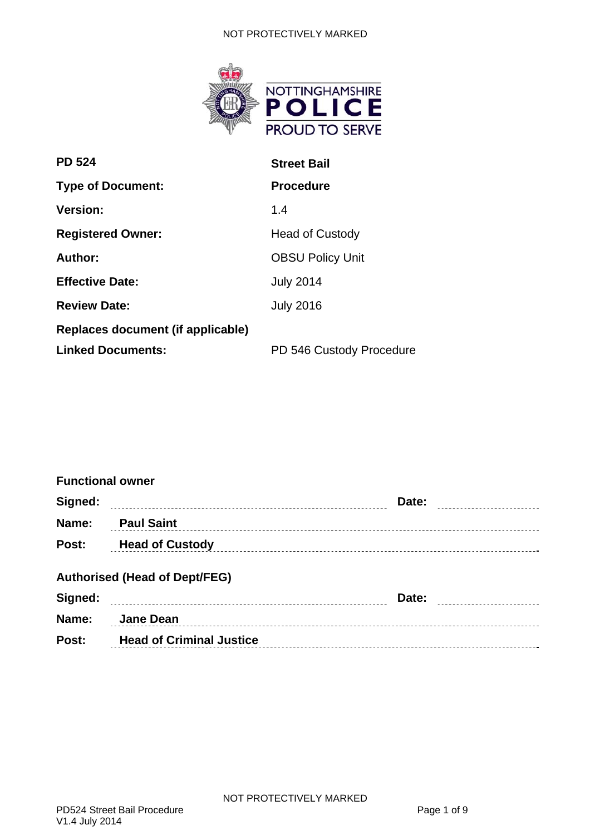#### NOT PROTECTIVELY MARKED



| <b>PD 524</b>                     | <b>Street Bail</b>       |  |
|-----------------------------------|--------------------------|--|
| <b>Type of Document:</b>          | <b>Procedure</b>         |  |
| <b>Version:</b>                   | 1.4                      |  |
| <b>Registered Owner:</b>          | <b>Head of Custody</b>   |  |
| Author:                           | <b>OBSU Policy Unit</b>  |  |
| <b>Effective Date:</b>            | <b>July 2014</b>         |  |
| <b>Review Date:</b>               | <b>July 2016</b>         |  |
| Replaces document (if applicable) |                          |  |
| <b>Linked Documents:</b>          | PD 546 Custody Procedure |  |

| <b>Functional owner</b> |                                      |               |  |
|-------------------------|--------------------------------------|---------------|--|
| Signed:                 |                                      | Date: <b></b> |  |
| Name:                   | <b>Paul Saint</b>                    |               |  |
| <b>Post:</b>            | <b>Head of Custody</b>               |               |  |
|                         | <b>Authorised (Head of Dept/FEG)</b> |               |  |
| Signed:                 |                                      | Date:         |  |
| Name:                   | Jane Dean                            |               |  |
|                         |                                      |               |  |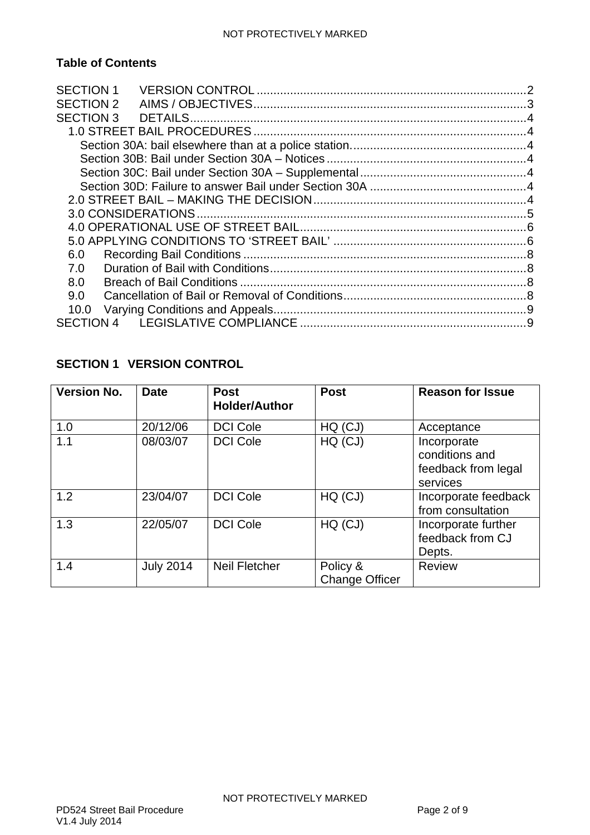# **Table of Contents**

| <b>SECTION 1</b> |  |
|------------------|--|
| <b>SECTION 2</b> |  |
| <b>SECTION 3</b> |  |
|                  |  |
|                  |  |
|                  |  |
|                  |  |
|                  |  |
|                  |  |
|                  |  |
|                  |  |
|                  |  |
| 6.0              |  |
| 7.0              |  |
| 8.0              |  |
| 9.0              |  |
| 10.0             |  |
|                  |  |
|                  |  |

# <span id="page-1-0"></span>**SECTION 1 VERSION CONTROL**

| <b>Version No.</b> | <b>Date</b>      | <b>Post</b><br><b>Holder/Author</b> | <b>Post</b>                       | <b>Reason for Issue</b>                                          |
|--------------------|------------------|-------------------------------------|-----------------------------------|------------------------------------------------------------------|
| 1.0                | 20/12/06         | <b>DCI Cole</b>                     | HQ (CJ)                           | Acceptance                                                       |
| 1.1                | 08/03/07         | <b>DCI Cole</b>                     | HQ (CJ)                           | Incorporate<br>conditions and<br>feedback from legal<br>services |
| 1.2                | 23/04/07         | <b>DCI Cole</b>                     | HQ (CJ)                           | Incorporate feedback<br>from consultation                        |
| 1.3                | 22/05/07         | <b>DCI Cole</b>                     | HQ (CJ)                           | Incorporate further<br>feedback from CJ<br>Depts.                |
| 1.4                | <b>July 2014</b> | <b>Neil Fletcher</b>                | Policy &<br><b>Change Officer</b> | <b>Review</b>                                                    |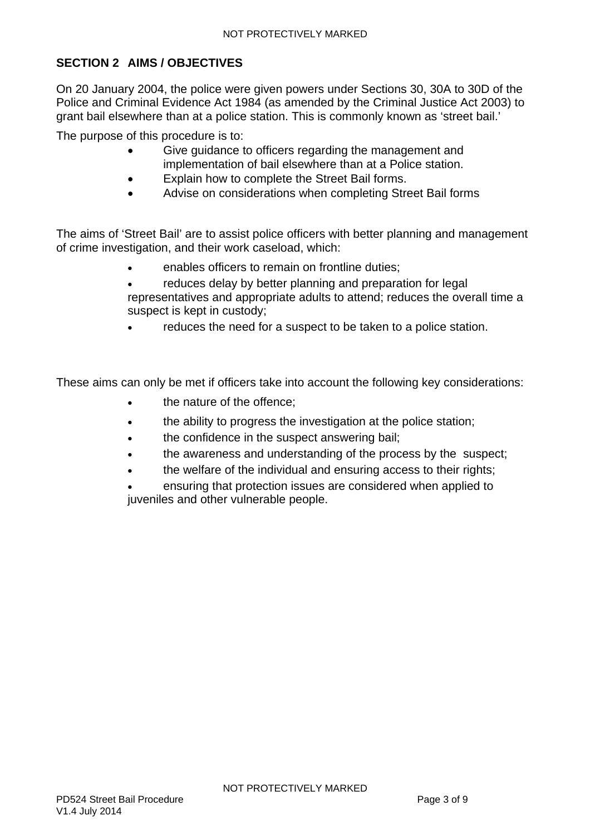## <span id="page-2-0"></span>**SECTION 2 AIMS / OBJECTIVES**

On 20 January 2004, the police were given powers under Sections 30, 30A to 30D of the Police and Criminal Evidence Act 1984 (as amended by the Criminal Justice Act 2003) to grant bail elsewhere than at a police station. This is commonly known as 'street bail.'

The purpose of this procedure is to:

- Give guidance to officers regarding the management and implementation of bail elsewhere than at a Police station.
- Explain how to complete the Street Bail forms.
- Advise on considerations when completing Street Bail forms

The aims of 'Street Bail' are to assist police officers with better planning and management of crime investigation, and their work caseload, which:

- enables officers to remain on frontline duties;
- reduces delay by better planning and preparation for legal representatives and appropriate adults to attend; reduces the overall time a suspect is kept in custody;
- reduces the need for a suspect to be taken to a police station.

These aims can only be met if officers take into account the following key considerations:

- the nature of the offence;
- the ability to progress the investigation at the police station;
- the confidence in the suspect answering bail;
- the awareness and understanding of the process by the suspect;
- the welfare of the individual and ensuring access to their rights;
- ensuring that protection issues are considered when applied to juveniles and other vulnerable people.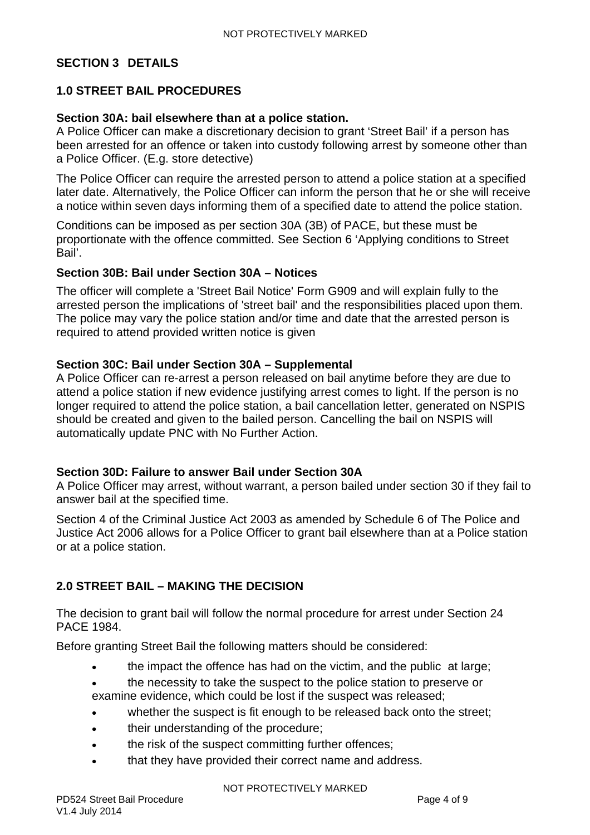#### <span id="page-3-0"></span>**SECTION 3 DETAILS**

### <span id="page-3-1"></span>**1.0 STREET BAIL PROCEDURES**

#### <span id="page-3-2"></span>**Section 30A: bail elsewhere than at a police station.**

A Police Officer can make a discretionary decision to grant 'Street Bail' if a person has been arrested for an offence or taken into custody following arrest by someone other than a Police Officer. (E.g. store detective)

The Police Officer can require the arrested person to attend a police station at a specified later date. Alternatively, the Police Officer can inform the person that he or she will receive a notice within seven days informing them of a specified date to attend the police station.

Conditions can be imposed as per section 30A (3B) of PACE, but these must be proportionate with the offence committed. See Section 6 'Applying conditions to Street Bail'.

#### <span id="page-3-3"></span>**Section 30B: Bail under Section 30A – Notices**

The officer will complete a 'Street Bail Notice' Form G909 and will explain fully to the arrested person the implications of 'street bail' and the responsibilities placed upon them. The police may vary the police station and/or time and date that the arrested person is required to attend provided written notice is given

#### <span id="page-3-4"></span>**Section 30C: Bail under Section 30A – Supplemental**

A Police Officer can re-arrest a person released on bail anytime before they are due to attend a police station if new evidence justifying arrest comes to light. If the person is no longer required to attend the police station, a bail cancellation letter, generated on NSPIS should be created and given to the bailed person. Cancelling the bail on NSPIS will automatically update PNC with No Further Action.

### <span id="page-3-5"></span>**Section 30D: Failure to answer Bail under Section 30A**

A Police Officer may arrest, without warrant, a person bailed under section 30 if they fail to answer bail at the specified time.

Section 4 of the Criminal Justice Act 2003 as amended by Schedule 6 of The Police and Justice Act 2006 allows for a Police Officer to grant bail elsewhere than at a Police station or at a police station.

#### <span id="page-3-6"></span>**2.0 STREET BAIL – MAKING THE DECISION**

The decision to grant bail will follow the normal procedure for arrest under Section 24 PACE 1984.

Before granting Street Bail the following matters should be considered:

- the impact the offence has had on the victim, and the public at large;
- the necessity to take the suspect to the police station to preserve or examine evidence, which could be lost if the suspect was released;
- whether the suspect is fit enough to be released back onto the street;
- their understanding of the procedure;
- the risk of the suspect committing further offences;
- that they have provided their correct name and address.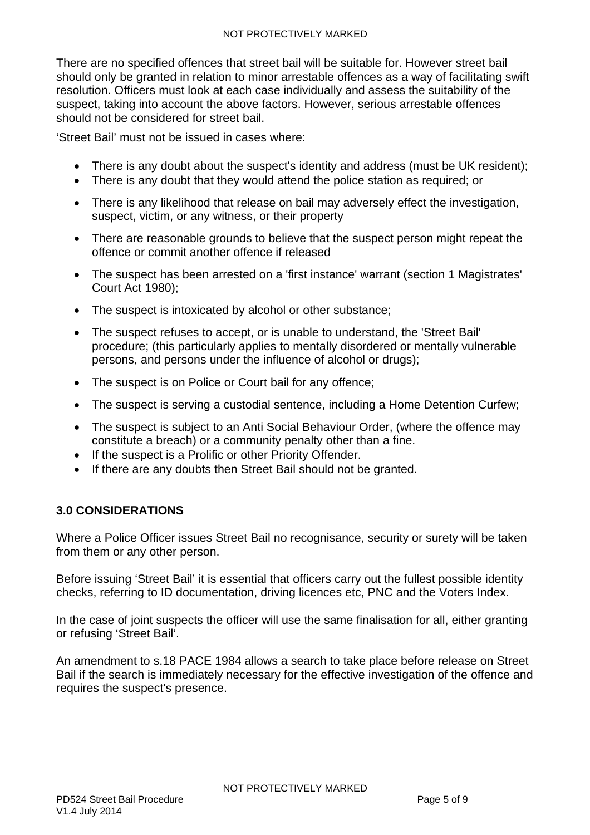There are no specified offences that street bail will be suitable for. However street bail should only be granted in relation to minor arrestable offences as a way of facilitating swift resolution. Officers must look at each case individually and assess the suitability of the suspect, taking into account the above factors. However, serious arrestable offences should not be considered for street bail.

'Street Bail' must not be issued in cases where:

- There is any doubt about the suspect's identity and address (must be UK resident);
- There is any doubt that they would attend the police station as required: or
- There is any likelihood that release on bail may adversely effect the investigation, suspect, victim, or any witness, or their property
- There are reasonable grounds to believe that the suspect person might repeat the offence or commit another offence if released
- The suspect has been arrested on a 'first instance' warrant (section 1 Magistrates' Court Act 1980);
- The suspect is intoxicated by alcohol or other substance;
- The suspect refuses to accept, or is unable to understand, the 'Street Bail' procedure; (this particularly applies to mentally disordered or mentally vulnerable persons, and persons under the influence of alcohol or drugs);
- The suspect is on Police or Court bail for any offence;
- The suspect is serving a custodial sentence, including a Home Detention Curfew;
- The suspect is subject to an Anti Social Behaviour Order, (where the offence may constitute a breach) or a community penalty other than a fine.
- If the suspect is a Prolific or other Priority Offender.
- If there are any doubts then Street Bail should not be granted.

#### <span id="page-4-0"></span>**3.0 CONSIDERATIONS**

Where a Police Officer issues Street Bail no recognisance, security or surety will be taken from them or any other person.

Before issuing 'Street Bail' it is essential that officers carry out the fullest possible identity checks, referring to ID documentation, driving licences etc, PNC and the Voters Index.

In the case of joint suspects the officer will use the same finalisation for all, either granting or refusing 'Street Bail'.

An amendment to s.18 PACE 1984 allows a search to take place before release on Street Bail if the search is immediately necessary for the effective investigation of the offence and requires the suspect's presence.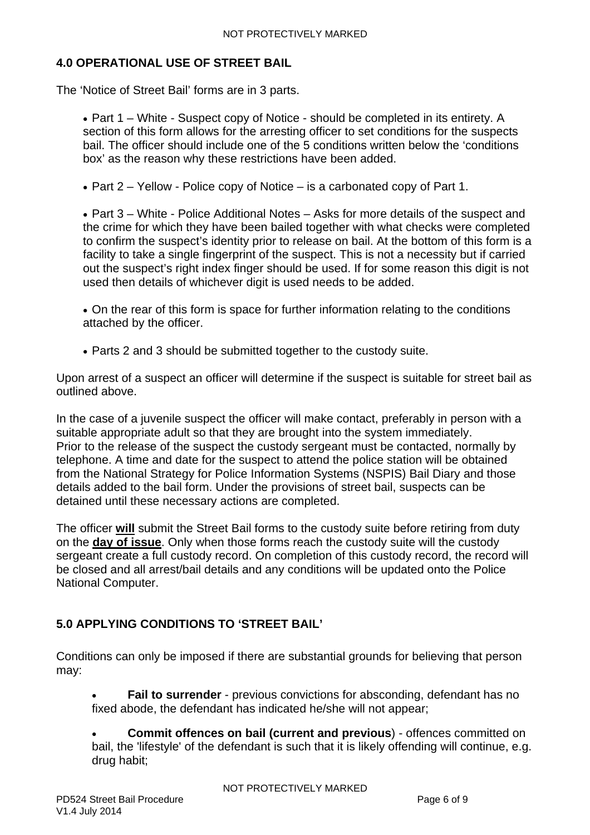### <span id="page-5-0"></span>**4.0 OPERATIONAL USE OF STREET BAIL**

The 'Notice of Street Bail' forms are in 3 parts.

• Part 1 – White - Suspect copy of Notice - should be completed in its entirety. A section of this form allows for the arresting officer to set conditions for the suspects bail. The officer should include one of the 5 conditions written below the 'conditions box' as the reason why these restrictions have been added.

• Part  $2$  – Yellow - Police copy of Notice – is a carbonated copy of Part 1.

 Part 3 – White - Police Additional Notes – Asks for more details of the suspect and the crime for which they have been bailed together with what checks were completed to confirm the suspect's identity prior to release on bail. At the bottom of this form is a facility to take a single fingerprint of the suspect. This is not a necessity but if carried out the suspect's right index finger should be used. If for some reason this digit is not used then details of whichever digit is used needs to be added.

 On the rear of this form is space for further information relating to the conditions attached by the officer.

Parts 2 and 3 should be submitted together to the custody suite.

Upon arrest of a suspect an officer will determine if the suspect is suitable for street bail as outlined above.

In the case of a juvenile suspect the officer will make contact, preferably in person with a suitable appropriate adult so that they are brought into the system immediately. Prior to the release of the suspect the custody sergeant must be contacted, normally by telephone. A time and date for the suspect to attend the police station will be obtained from the National Strategy for Police Information Systems (NSPIS) Bail Diary and those details added to the bail form. Under the provisions of street bail, suspects can be detained until these necessary actions are completed.

The officer **will** submit the Street Bail forms to the custody suite before retiring from duty on the **day of issue**. Only when those forms reach the custody suite will the custody sergeant create a full custody record. On completion of this custody record, the record will be closed and all arrest/bail details and any conditions will be updated onto the Police National Computer.

### <span id="page-5-1"></span>**5.0 APPLYING CONDITIONS TO 'STREET BAIL'**

Conditions can only be imposed if there are substantial grounds for believing that person may:

 **Fail to surrender** - previous convictions for absconding, defendant has no fixed abode, the defendant has indicated he/she will not appear;

 **Commit offences on bail (current and previous**) - offences committed on bail, the 'lifestyle' of the defendant is such that it is likely offending will continue, e.g. drug habit;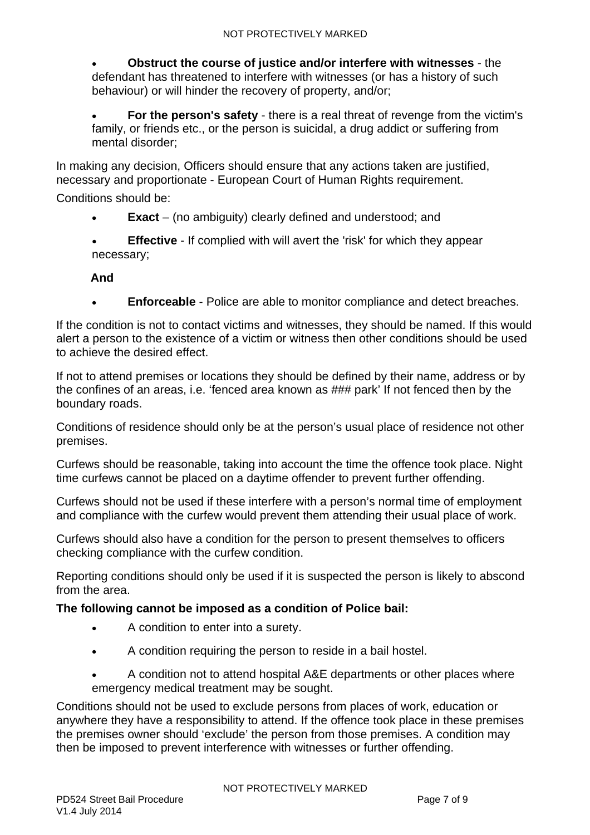**Obstruct the course of justice and/or interfere with witnesses** - the defendant has threatened to interfere with witnesses (or has a history of such behaviour) or will hinder the recovery of property, and/or;

 **For the person's safety** - there is a real threat of revenge from the victim's family, or friends etc., or the person is suicidal, a drug addict or suffering from mental disorder;

In making any decision, Officers should ensure that any actions taken are justified, necessary and proportionate - European Court of Human Rights requirement.

Conditions should be:

- **Exact** (no ambiguity) clearly defined and understood; and
- **Effective** If complied with will avert the 'risk' for which they appear necessary;

**And** 

**Enforceable** - Police are able to monitor compliance and detect breaches.

If the condition is not to contact victims and witnesses, they should be named. If this would alert a person to the existence of a victim or witness then other conditions should be used to achieve the desired effect.

If not to attend premises or locations they should be defined by their name, address or by the confines of an areas, i.e. 'fenced area known as ### park' If not fenced then by the boundary roads.

Conditions of residence should only be at the person's usual place of residence not other premises.

Curfews should be reasonable, taking into account the time the offence took place. Night time curfews cannot be placed on a daytime offender to prevent further offending.

Curfews should not be used if these interfere with a person's normal time of employment and compliance with the curfew would prevent them attending their usual place of work.

Curfews should also have a condition for the person to present themselves to officers checking compliance with the curfew condition.

Reporting conditions should only be used if it is suspected the person is likely to abscond from the area.

**The following cannot be imposed as a condition of Police bail:** 

- A condition to enter into a surety.
- A condition requiring the person to reside in a bail hostel.
- A condition not to attend hospital A&E departments or other places where emergency medical treatment may be sought.

Conditions should not be used to exclude persons from places of work, education or anywhere they have a responsibility to attend. If the offence took place in these premises the premises owner should 'exclude' the person from those premises. A condition may then be imposed to prevent interference with witnesses or further offending.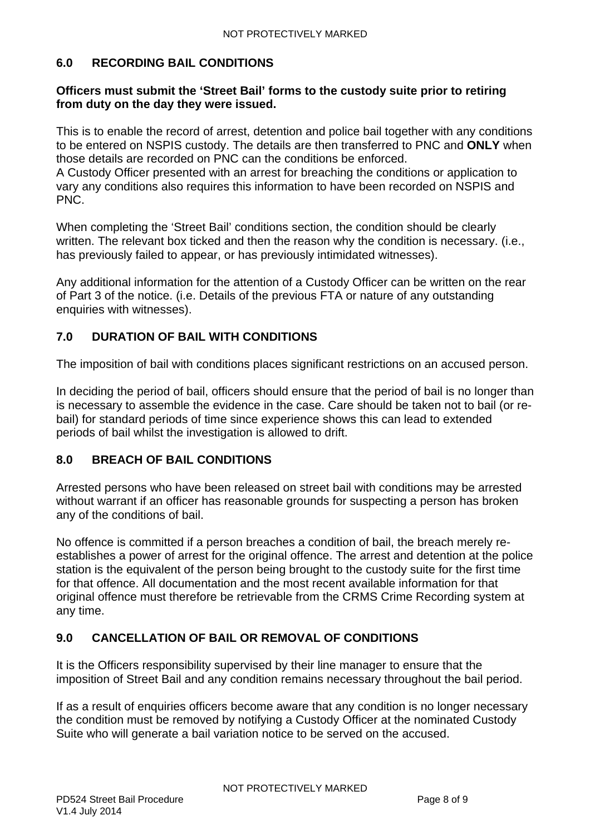### <span id="page-7-0"></span>**6.0 RECORDING BAIL CONDITIONS**

### **Officers must submit the 'Street Bail' forms to the custody suite prior to retiring from duty on the day they were issued.**

This is to enable the record of arrest, detention and police bail together with any conditions to be entered on NSPIS custody. The details are then transferred to PNC and **ONLY** when those details are recorded on PNC can the conditions be enforced.

A Custody Officer presented with an arrest for breaching the conditions or application to vary any conditions also requires this information to have been recorded on NSPIS and PNC.

When completing the 'Street Bail' conditions section, the condition should be clearly written. The relevant box ticked and then the reason why the condition is necessary. (i.e., has previously failed to appear, or has previously intimidated witnesses).

Any additional information for the attention of a Custody Officer can be written on the rear of Part 3 of the notice. (i.e. Details of the previous FTA or nature of any outstanding enquiries with witnesses).

# <span id="page-7-1"></span>**7.0 DURATION OF BAIL WITH CONDITIONS**

The imposition of bail with conditions places significant restrictions on an accused person.

In deciding the period of bail, officers should ensure that the period of bail is no longer than is necessary to assemble the evidence in the case. Care should be taken not to bail (or rebail) for standard periods of time since experience shows this can lead to extended periods of bail whilst the investigation is allowed to drift.

# <span id="page-7-2"></span>**8.0 BREACH OF BAIL CONDITIONS**

Arrested persons who have been released on street bail with conditions may be arrested without warrant if an officer has reasonable grounds for suspecting a person has broken any of the conditions of bail.

No offence is committed if a person breaches a condition of bail, the breach merely reestablishes a power of arrest for the original offence. The arrest and detention at the police station is the equivalent of the person being brought to the custody suite for the first time for that offence. All documentation and the most recent available information for that original offence must therefore be retrievable from the CRMS Crime Recording system at any time.

# <span id="page-7-3"></span>**9.0 CANCELLATION OF BAIL OR REMOVAL OF CONDITIONS**

It is the Officers responsibility supervised by their line manager to ensure that the imposition of Street Bail and any condition remains necessary throughout the bail period.

If as a result of enquiries officers become aware that any condition is no longer necessary the condition must be removed by notifying a Custody Officer at the nominated Custody Suite who will generate a bail variation notice to be served on the accused.